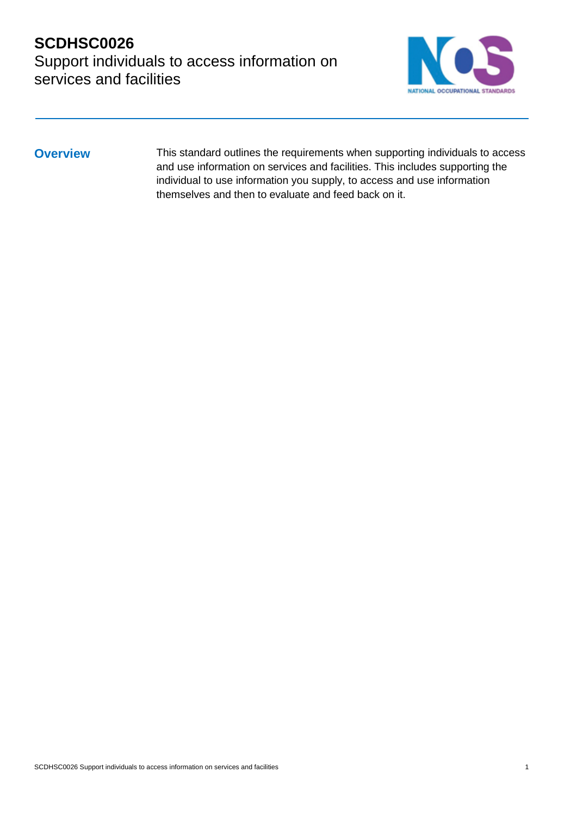# **SCDHSC0026** Support individuals to access information on services and facilities



**Overview** This standard outlines the requirements when supporting individuals to access and use information on services and facilities. This includes supporting the individual to use information you supply, to access and use information themselves and then to evaluate and feed back on it.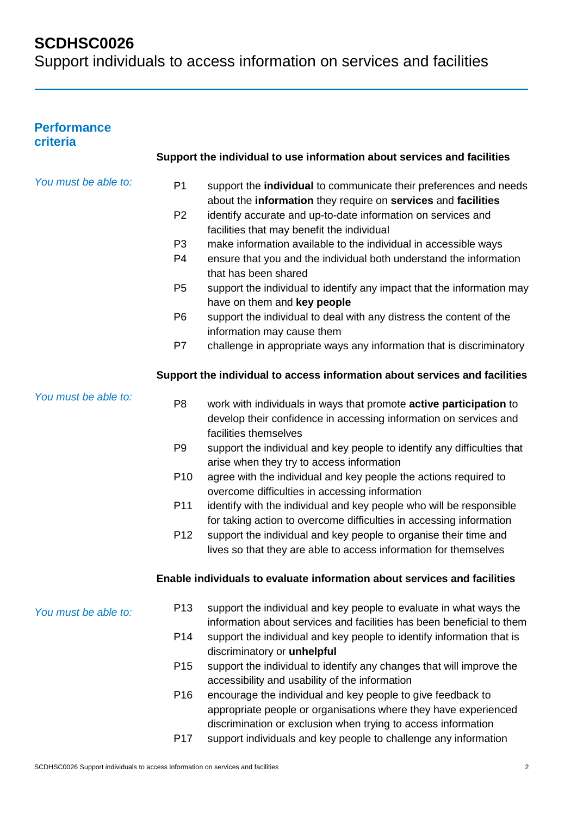Support individuals to access information on services and facilities

## **Performance criteria**

|                      |                 | Support the individual to use information about services and facilities                                                                    |
|----------------------|-----------------|--------------------------------------------------------------------------------------------------------------------------------------------|
| You must be able to: | P <sub>1</sub>  | support the individual to communicate their preferences and needs<br>about the information they require on services and facilities         |
|                      | P <sub>2</sub>  | identify accurate and up-to-date information on services and<br>facilities that may benefit the individual                                 |
|                      | P <sub>3</sub>  | make information available to the individual in accessible ways                                                                            |
|                      | P <sub>4</sub>  | ensure that you and the individual both understand the information<br>that has been shared                                                 |
|                      | P <sub>5</sub>  | support the individual to identify any impact that the information may<br>have on them and key people                                      |
|                      | P <sub>6</sub>  | support the individual to deal with any distress the content of the<br>information may cause them                                          |
|                      | P7              | challenge in appropriate ways any information that is discriminatory                                                                       |
|                      |                 | Support the individual to access information about services and facilities                                                                 |
| You must be able to: | P <sub>8</sub>  | work with individuals in ways that promote active participation to                                                                         |
|                      |                 | develop their confidence in accessing information on services and                                                                          |
|                      |                 | facilities themselves                                                                                                                      |
|                      | P <sub>9</sub>  | support the individual and key people to identify any difficulties that<br>arise when they try to access information                       |
|                      | P <sub>10</sub> | agree with the individual and key people the actions required to                                                                           |
|                      |                 | overcome difficulties in accessing information                                                                                             |
|                      | P11             | identify with the individual and key people who will be responsible<br>for taking action to overcome difficulties in accessing information |
|                      | P <sub>12</sub> | support the individual and key people to organise their time and                                                                           |
|                      |                 | lives so that they are able to access information for themselves                                                                           |
|                      |                 | Enable individuals to evaluate information about services and facilities                                                                   |
| You must be able to: | P <sub>13</sub> | support the individual and key people to evaluate in what ways the                                                                         |
|                      |                 | information about services and facilities has been beneficial to them                                                                      |
|                      | P <sub>14</sub> | support the individual and key people to identify information that is<br>discriminatory or unhelpful                                       |
|                      | P <sub>15</sub> | support the individual to identify any changes that will improve the                                                                       |
|                      |                 | accessibility and usability of the information                                                                                             |
|                      | P <sub>16</sub> | encourage the individual and key people to give feedback to                                                                                |
|                      |                 | appropriate people or organisations where they have experienced                                                                            |
|                      |                 | discrimination or exclusion when trying to access information                                                                              |
|                      | P <sub>17</sub> | support individuals and key people to challenge any information                                                                            |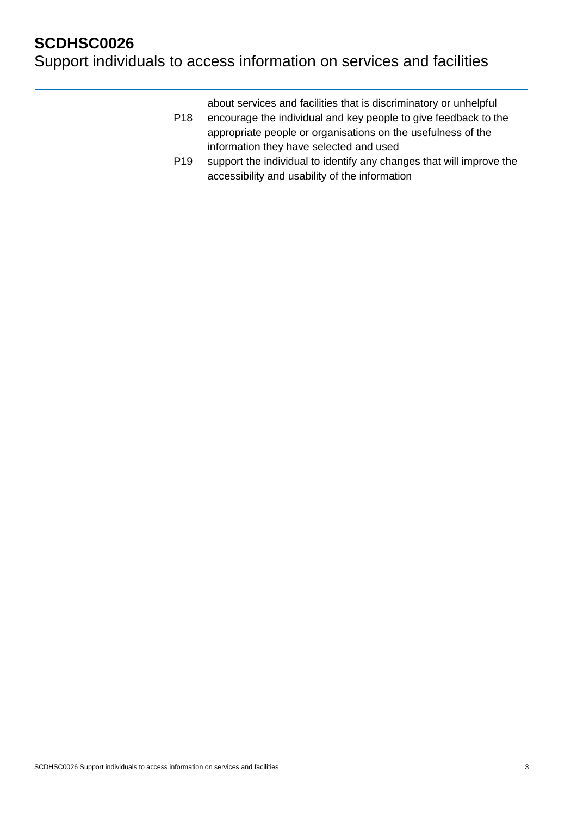Support individuals to access information on services and facilities

about services and facilities that is discriminatory or unhelpful

- P18 encourage the individual and key people to give feedback to the appropriate people or organisations on the usefulness of the information they have selected and used
- P19 support the individual to identify any changes that will improve the accessibility and usability of the information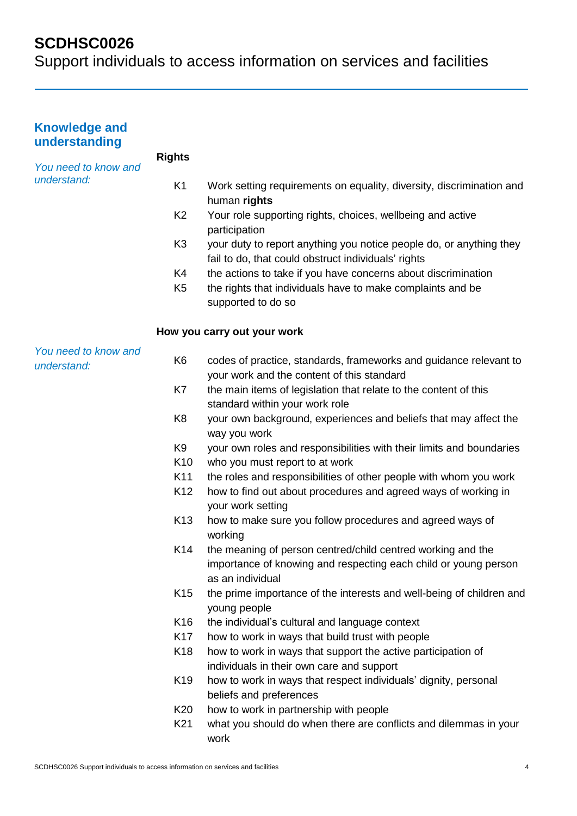| <b>Knowledge and</b><br>understanding |                 |                                                                                                                                                    |
|---------------------------------------|-----------------|----------------------------------------------------------------------------------------------------------------------------------------------------|
| You need to know and                  | <b>Rights</b>   |                                                                                                                                                    |
| understand:                           | K <sub>1</sub>  | Work setting requirements on equality, diversity, discrimination and<br>human rights                                                               |
|                                       | K <sub>2</sub>  | Your role supporting rights, choices, wellbeing and active<br>participation                                                                        |
|                                       | K <sub>3</sub>  | your duty to report anything you notice people do, or anything they<br>fail to do, that could obstruct individuals' rights                         |
|                                       | K4              | the actions to take if you have concerns about discrimination                                                                                      |
|                                       | K <sub>5</sub>  | the rights that individuals have to make complaints and be<br>supported to do so                                                                   |
|                                       |                 | How you carry out your work                                                                                                                        |
| You need to know and<br>understand:   | K <sub>6</sub>  | codes of practice, standards, frameworks and guidance relevant to<br>your work and the content of this standard                                    |
|                                       | K7              | the main items of legislation that relate to the content of this<br>standard within your work role                                                 |
|                                       | K <sub>8</sub>  | your own background, experiences and beliefs that may affect the<br>way you work                                                                   |
|                                       | K <sub>9</sub>  | your own roles and responsibilities with their limits and boundaries                                                                               |
|                                       | K <sub>10</sub> | who you must report to at work                                                                                                                     |
|                                       | K11             | the roles and responsibilities of other people with whom you work                                                                                  |
|                                       | K <sub>12</sub> | how to find out about procedures and agreed ways of working in<br>your work setting                                                                |
|                                       | K <sub>13</sub> | how to make sure you follow procedures and agreed ways of<br>working                                                                               |
|                                       | K14             | the meaning of person centred/child centred working and the<br>importance of knowing and respecting each child or young person<br>as an individual |
|                                       | K <sub>15</sub> | the prime importance of the interests and well-being of children and<br>young people                                                               |
|                                       | K <sub>16</sub> | the individual's cultural and language context                                                                                                     |
|                                       | K <sub>17</sub> | how to work in ways that build trust with people                                                                                                   |
|                                       | K <sub>18</sub> | how to work in ways that support the active participation of<br>individuals in their own care and support                                          |
|                                       | K <sub>19</sub> | how to work in ways that respect individuals' dignity, personal<br>beliefs and preferences                                                         |
|                                       | K <sub>20</sub> | how to work in partnership with people                                                                                                             |
|                                       | K <sub>21</sub> | what you should do when there are conflicts and dilemmas in your<br>work                                                                           |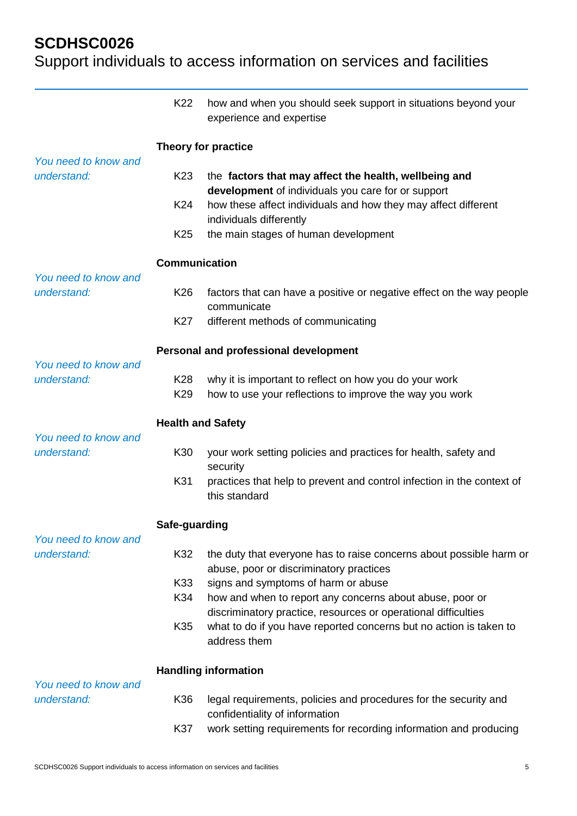|                                     | K22                                | how and when you should seek support in situations beyond your<br>experience and expertise                                 |  |
|-------------------------------------|------------------------------------|----------------------------------------------------------------------------------------------------------------------------|--|
| You need to know and                | Theory for practice                |                                                                                                                            |  |
| understand:                         | K <sub>23</sub>                    | the factors that may affect the health, wellbeing and<br>development of individuals you care for or support                |  |
|                                     | K24                                | how these affect individuals and how they may affect different<br>individuals differently                                  |  |
|                                     | K <sub>25</sub>                    | the main stages of human development                                                                                       |  |
| You need to know and                | <b>Communication</b>               |                                                                                                                            |  |
| understand:                         | K <sub>26</sub>                    | factors that can have a positive or negative effect on the way people<br>communicate                                       |  |
|                                     | K <sub>27</sub>                    | different methods of communicating                                                                                         |  |
| You need to know and                |                                    | Personal and professional development                                                                                      |  |
| understand:                         | K <sub>28</sub><br>K <sub>29</sub> | why it is important to reflect on how you do your work<br>how to use your reflections to improve the way you work          |  |
| You need to know and                | <b>Health and Safety</b>           |                                                                                                                            |  |
| understand:                         | K30                                | your work setting policies and practices for health, safety and<br>security                                                |  |
|                                     | K31                                | practices that help to prevent and control infection in the context of<br>this standard                                    |  |
|                                     | Safe-guarding                      |                                                                                                                            |  |
| You need to know and<br>understand: | K32                                | the duty that everyone has to raise concerns about possible harm or<br>abuse, poor or discriminatory practices             |  |
|                                     | K33                                | signs and symptoms of harm or abuse                                                                                        |  |
|                                     | K34                                | how and when to report any concerns about abuse, poor or<br>discriminatory practice, resources or operational difficulties |  |
|                                     | K35                                | what to do if you have reported concerns but no action is taken to<br>address them                                         |  |
|                                     |                                    | <b>Handling information</b>                                                                                                |  |
| You need to know and<br>understand: | K36                                | legal requirements, policies and procedures for the security and<br>confidentiality of information                         |  |
|                                     | K37                                | work setting requirements for recording information and producing                                                          |  |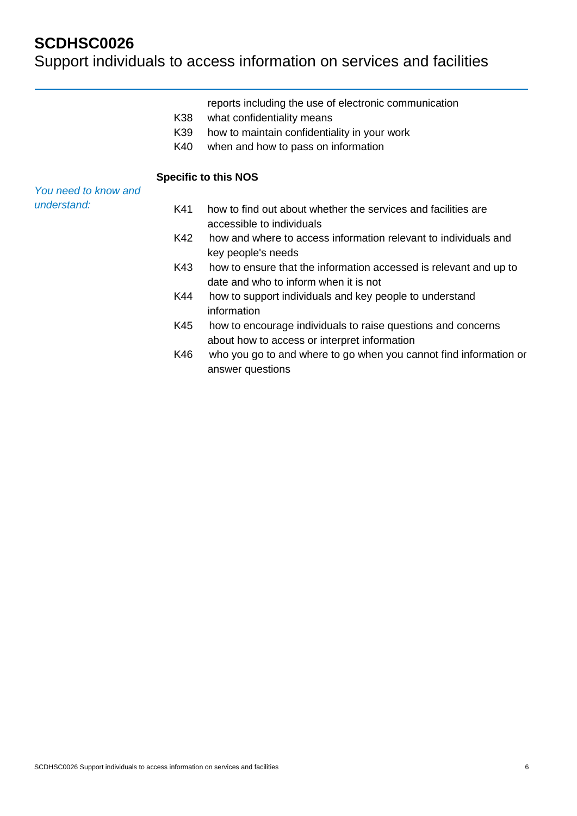|                      | K38<br>K39<br>K40 | reports including the use of electronic communication<br>what confidentiality means<br>how to maintain confidentiality in your work<br>when and how to pass on information |
|----------------------|-------------------|----------------------------------------------------------------------------------------------------------------------------------------------------------------------------|
|                      |                   | <b>Specific to this NOS</b>                                                                                                                                                |
| You need to know and |                   |                                                                                                                                                                            |
| understand:          | K41               | how to find out about whether the services and facilities are<br>accessible to individuals                                                                                 |
|                      | K42               | how and where to access information relevant to individuals and<br>key people's needs                                                                                      |
|                      | K43               | how to ensure that the information accessed is relevant and up to<br>date and who to inform when it is not                                                                 |
|                      | K44               | how to support individuals and key people to understand<br>information                                                                                                     |
|                      | K45               | how to encourage individuals to raise questions and concerns<br>about how to access or interpret information                                                               |
|                      | K46               | who you go to and where to go when you cannot find information or<br>answer questions                                                                                      |
|                      |                   |                                                                                                                                                                            |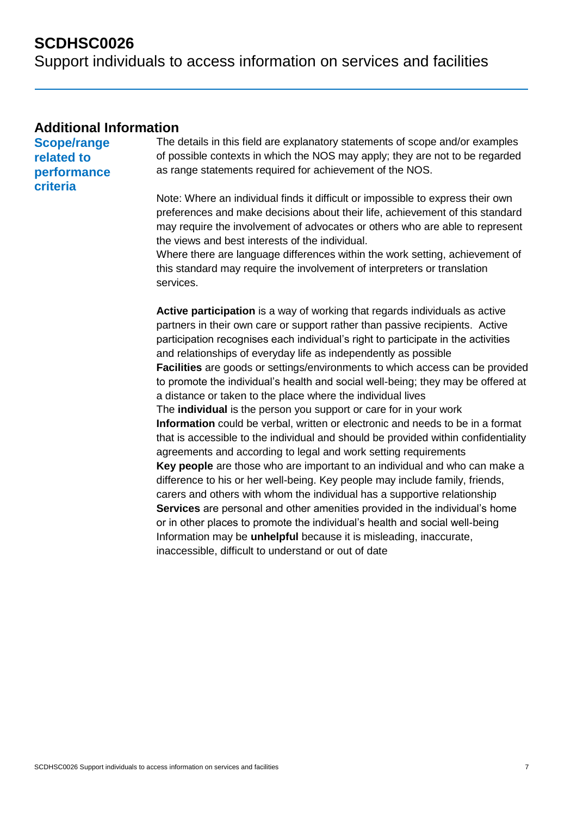Support individuals to access information on services and facilities

### **Additional Information**

**Scope/range related to performance criteria**

The details in this field are explanatory statements of scope and/or examples of possible contexts in which the NOS may apply; they are not to be regarded as range statements required for achievement of the NOS.

Note: Where an individual finds it difficult or impossible to express their own preferences and make decisions about their life, achievement of this standard may require the involvement of advocates or others who are able to represent the views and best interests of the individual.

Where there are language differences within the work setting, achievement of this standard may require the involvement of interpreters or translation services.

**Active participation** is a way of working that regards individuals as active partners in their own care or support rather than passive recipients. Active participation recognises each individual's right to participate in the activities and relationships of everyday life as independently as possible **Facilities** are goods or settings/environments to which access can be provided to promote the individual's health and social well-being; they may be offered at a distance or taken to the place where the individual lives The **individual** is the person you support or care for in your work **Information** could be verbal, written or electronic and needs to be in a format that is accessible to the individual and should be provided within confidentiality agreements and according to legal and work setting requirements **Key people** are those who are important to an individual and who can make a difference to his or her well-being. Key people may include family, friends, carers and others with whom the individual has a supportive relationship **Services** are personal and other amenities provided in the individual's home or in other places to promote the individual's health and social well-being Information may be **unhelpful** because it is misleading, inaccurate, inaccessible, difficult to understand or out of date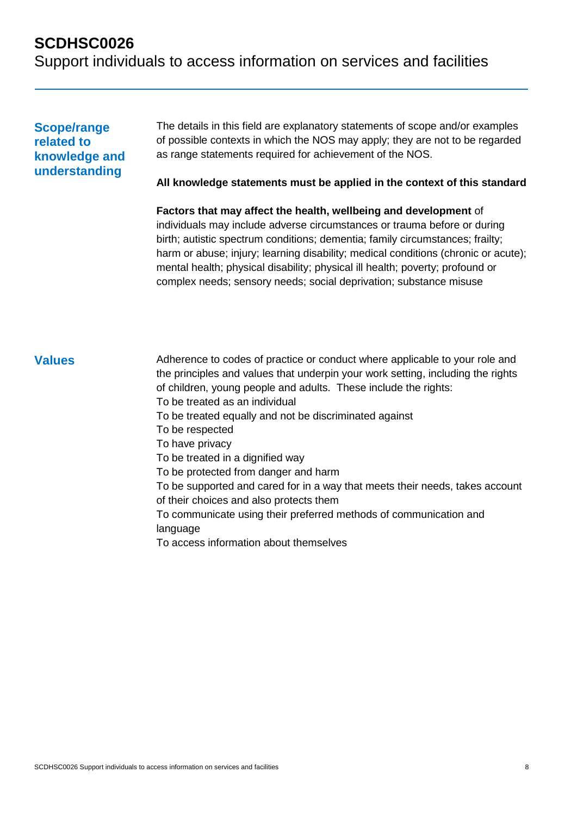# **SCDHSC0026** Support individuals to access information on services and facilities

### **Scope/range related to knowledge and understanding**

The details in this field are explanatory statements of scope and/or examples of possible contexts in which the NOS may apply; they are not to be regarded as range statements required for achievement of the NOS.

**All knowledge statements must be applied in the context of this standard**

**Factors that may affect the health, wellbeing and development** of individuals may include adverse circumstances or trauma before or during birth; autistic spectrum conditions; dementia; family circumstances; frailty; harm or abuse; injury; learning disability; medical conditions (chronic or acute); mental health; physical disability; physical ill health; poverty; profound or complex needs; sensory needs; social deprivation; substance misuse

**Values** Adherence to codes of practice or conduct where applicable to your role and the principles and values that underpin your work setting, including the rights of children, young people and adults. These include the rights: To be treated as an individual To be treated equally and not be discriminated against To be respected To have privacy To be treated in a dignified way To be protected from danger and harm To be supported and cared for in a way that meets their needs, takes account of their choices and also protects them To communicate using their preferred methods of communication and language To access information about themselves